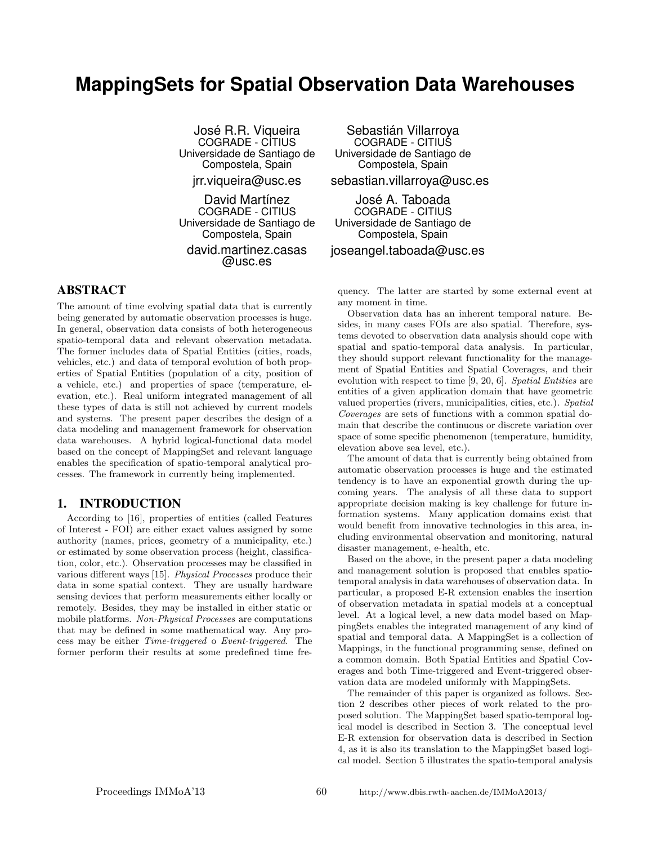# **MappingSets for Spatial Observation Data Warehouses**

José R.R. Viqueira COGRADE - CITIUS Universidade de Santiago de Compostela, Spain

jrr.viqueira@usc.es

David Martínez COGRADE - CITIUS Universidade de Santiago de Compostela, Spain

david.martinez.casas @usc.es

# ABSTRACT

The amount of time evolving spatial data that is currently being generated by automatic observation processes is huge. In general, observation data consists of both heterogeneous spatio-temporal data and relevant observation metadata. The former includes data of Spatial Entities (cities, roads, vehicles, etc.) and data of temporal evolution of both properties of Spatial Entities (population of a city, position of a vehicle, etc.) and properties of space (temperature, elevation, etc.). Real uniform integrated management of all these types of data is still not achieved by current models and systems. The present paper describes the design of a data modeling and management framework for observation data warehouses. A hybrid logical-functional data model based on the concept of MappingSet and relevant language enables the specification of spatio-temporal analytical processes. The framework in currently being implemented.

### 1. INTRODUCTION

According to [16], properties of entities (called Features of Interest - FOI) are either exact values assigned by some authority (names, prices, geometry of a municipality, etc.) or estimated by some observation process (height, classification, color, etc.). Observation processes may be classified in various different ways [15]. Physical Processes produce their data in some spatial context. They are usually hardware sensing devices that perform measurements either locally or remotely. Besides, they may be installed in either static or mobile platforms. Non-Physical Processes are computations that may be defined in some mathematical way. Any process may be either Time-triggered o Event-triggered. The former perform their results at some predefined time fre-

Sebastián Villarroya COGRADE - CITIUS Universidade de Santiago de Compostela, Spain

sebastian.villarroya@usc.es

Jose A. Taboada ´ COGRADE - CITIUS Universidade de Santiago de Compostela, Spain

joseangel.taboada@usc.es

quency. The latter are started by some external event at any moment in time.

Observation data has an inherent temporal nature. Besides, in many cases FOIs are also spatial. Therefore, systems devoted to observation data analysis should cope with spatial and spatio-temporal data analysis. In particular, they should support relevant functionality for the management of Spatial Entities and Spatial Coverages, and their evolution with respect to time [9, 20, 6]. Spatial Entities are entities of a given application domain that have geometric valued properties (rivers, municipalities, cities, etc.). Spatial Coverages are sets of functions with a common spatial domain that describe the continuous or discrete variation over space of some specific phenomenon (temperature, humidity, elevation above sea level, etc.).

The amount of data that is currently being obtained from automatic observation processes is huge and the estimated tendency is to have an exponential growth during the upcoming years. The analysis of all these data to support appropriate decision making is key challenge for future information systems. Many application domains exist that would benefit from innovative technologies in this area, including environmental observation and monitoring, natural disaster management, e-health, etc.

Based on the above, in the present paper a data modeling and management solution is proposed that enables spatiotemporal analysis in data warehouses of observation data. In particular, a proposed E-R extension enables the insertion of observation metadata in spatial models at a conceptual level. At a logical level, a new data model based on MappingSets enables the integrated management of any kind of spatial and temporal data. A MappingSet is a collection of Mappings, in the functional programming sense, defined on a common domain. Both Spatial Entities and Spatial Coverages and both Time-triggered and Event-triggered observation data are modeled uniformly with MappingSets.

The remainder of this paper is organized as follows. Section 2 describes other pieces of work related to the proposed solution. The MappingSet based spatio-temporal logical model is described in Section 3. The conceptual level E-R extension for observation data is described in Section 4, as it is also its translation to the MappingSet based logical model. Section 5 illustrates the spatio-temporal analysis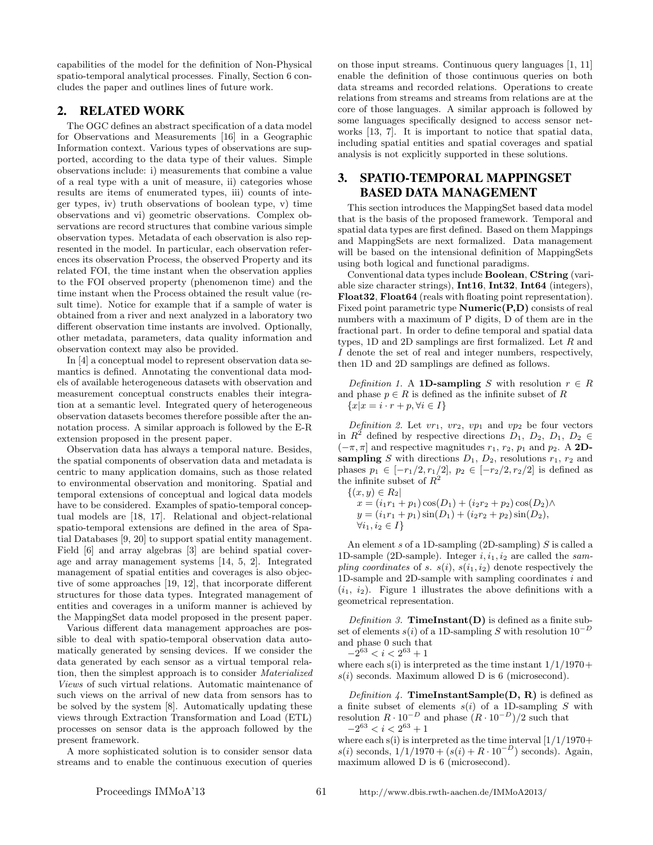capabilities of the model for the definition of Non-Physical spatio-temporal analytical processes. Finally, Section 6 concludes the paper and outlines lines of future work.

## 2. RELATED WORK

The OGC defines an abstract specification of a data model for Observations and Measurements [16] in a Geographic Information context. Various types of observations are supported, according to the data type of their values. Simple observations include: i) measurements that combine a value of a real type with a unit of measure, ii) categories whose results are items of enumerated types, iii) counts of integer types, iv) truth observations of boolean type, v) time observations and vi) geometric observations. Complex observations are record structures that combine various simple observation types. Metadata of each observation is also represented in the model. In particular, each observation references its observation Process, the observed Property and its related FOI, the time instant when the observation applies to the FOI observed property (phenomenon time) and the time instant when the Process obtained the result value (result time). Notice for example that if a sample of water is obtained from a river and next analyzed in a laboratory two different observation time instants are involved. Optionally, other metadata, parameters, data quality information and observation context may also be provided.

In [4] a conceptual model to represent observation data semantics is defined. Annotating the conventional data models of available heterogeneous datasets with observation and measurement conceptual constructs enables their integration at a semantic level. Integrated query of heterogeneous observation datasets becomes therefore possible after the annotation process. A similar approach is followed by the E-R extension proposed in the present paper.

Observation data has always a temporal nature. Besides, the spatial components of observation data and metadata is centric to many application domains, such as those related to environmental observation and monitoring. Spatial and temporal extensions of conceptual and logical data models have to be considered. Examples of spatio-temporal conceptual models are [18, 17]. Relational and object-relational spatio-temporal extensions are defined in the area of Spatial Databases [9, 20] to support spatial entity management. Field [6] and array algebras [3] are behind spatial coverage and array management systems [14, 5, 2]. Integrated management of spatial entities and coverages is also objective of some approaches [19, 12], that incorporate different structures for those data types. Integrated management of entities and coverages in a uniform manner is achieved by the MappingSet data model proposed in the present paper.

Various different data management approaches are possible to deal with spatio-temporal observation data automatically generated by sensing devices. If we consider the data generated by each sensor as a virtual temporal relation, then the simplest approach is to consider Materialized Views of such virtual relations. Automatic maintenance of such views on the arrival of new data from sensors has to be solved by the system [8]. Automatically updating these views through Extraction Transformation and Load (ETL) processes on sensor data is the approach followed by the present framework.

A more sophisticated solution is to consider sensor data streams and to enable the continuous execution of queries on those input streams. Continuous query languages [1, 11] enable the definition of those continuous queries on both data streams and recorded relations. Operations to create relations from streams and streams from relations are at the core of those languages. A similar approach is followed by some languages specifically designed to access sensor networks [13, 7]. It is important to notice that spatial data, including spatial entities and spatial coverages and spatial analysis is not explicitly supported in these solutions.

# 3. SPATIO-TEMPORAL MAPPINGSET BASED DATA MANAGEMENT

This section introduces the MappingSet based data model that is the basis of the proposed framework. Temporal and spatial data types are first defined. Based on them Mappings and MappingSets are next formalized. Data management will be based on the intensional definition of MappingSets using both logical and functional paradigms.

Conventional data types include Boolean, CString (variable size character strings), Int16, Int32, Int64 (integers), Float32, Float64 (reals with floating point representation). Fixed point parametric type Numeric(P,D) consists of real numbers with a maximum of P digits, D of them are in the fractional part. In order to define temporal and spatial data types,  $1D$  and  $2D$  samplings are first formalized. Let  $R$  and I denote the set of real and integer numbers, respectively, then 1D and 2D samplings are defined as follows.

Definition 1. A 1D-sampling S with resolution  $r \in R$ and phase  $p \in R$  is defined as the infinite subset of R  ${x|x = i \cdot r + p, \forall i \in I}$ 

Definition 2. Let  $vr_1$ ,  $vr_2$ ,  $vp_1$  and  $vp_2$  be four vectors in  $R^2$  defined by respective directions  $D_1$ ,  $D_2$ ,  $D_1$ ,  $D_2 \in$  $(-\pi, \pi]$  and respective magnitudes  $r_1, r_2, p_1$  and  $p_2$ . A 2Dsampling S with directions  $D_1$ ,  $D_2$ , resolutions  $r_1$ ,  $r_2$  and phases  $p_1 \in [-r_1/2, r_1/2], p_2 \in [-r_2/2, r_2/2]$  is defined as the infinite subset of  $R^2$ 

 ${(x, y) \in R_2}$  $x = (i_1r_1 + p_1)\cos(D_1) + (i_2r_2 + p_2)\cos(D_2)\wedge$  $y = (i_1r_1 + p_1)\sin(D_1) + (i_2r_2 + p_2)\sin(D_2),$  $\forall i_1, i_2 \in I$ 

An element  $s$  of a 1D-sampling (2D-sampling)  $S$  is called a 1D-sample (2D-sample). Integer  $i, i_1, i_2$  are called the sampling coordinates of s.  $s(i)$ ,  $s(i_1, i_2)$  denote respectively the 1D-sample and 2D-sample with sampling coordinates i and  $(i_1, i_2)$ . Figure 1 illustrates the above definitions with a geometrical representation.

Definition 3. **TimeInstant(D)** is defined as a finite subset of elements  $s(i)$  of a 1D-sampling S with resolution  $10^{-D}$ and phase 0 such that

 $-2^{63} < i < 2^{63} + 1$ 

where each s(i) is interpreted as the time instant  $1/1/1970+$  $s(i)$  seconds. Maximum allowed D is 6 (microsecond).

Definition 4. TimeInstantSample( $D, R$ ) is defined as a finite subset of elements  $s(i)$  of a 1D-sampling S with resolution  $R \cdot 10^{-D}$  and phase  $(R \cdot 10^{-D})/2$  such that  $-2^{63} < i < 2^{63} + 1$ 

where each s(i) is interpreted as the time interval  $\left[\frac{1}{1}\right]$  1/1/1970+ s(i) seconds,  $1/1/1970 + (s(i) + R \cdot 10^{-D})$  seconds). Again, maximum allowed D is 6 (microsecond).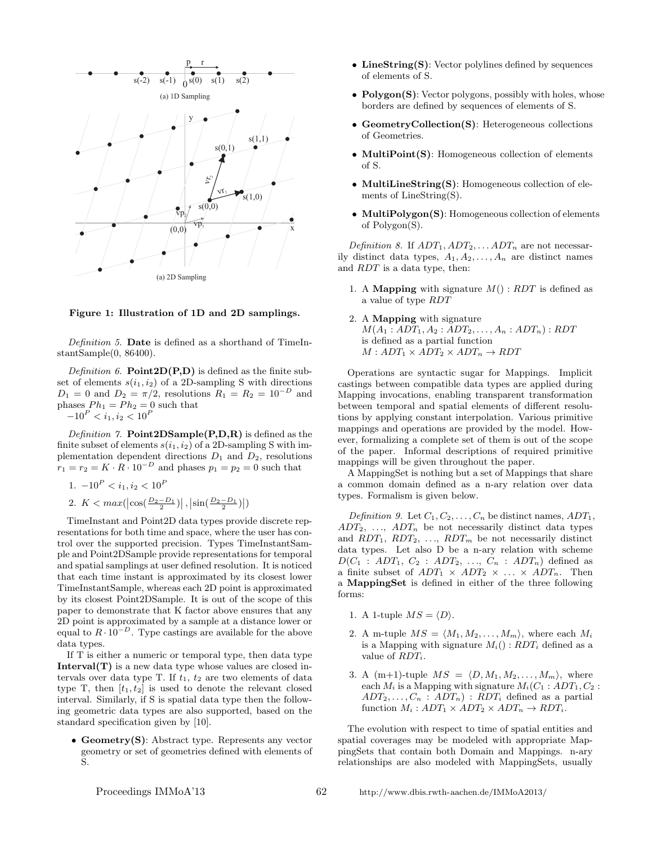

Figure 1: Illustration of 1D and 2D samplings.

Definition 5. Date is defined as a shorthand of TimeInstantSample(0, 86400).

Definition 6. **Point2D(P,D)** is defined as the finite subset of elements  $s(i_1, i_2)$  of a 2D-sampling S with directions  $D_1 = 0$  and  $D_2 = \pi/2$ , resolutions  $R_1 = R_2 = 10^{-D}$  and phases  $Ph_1 = Ph_2 = 0$  such that  $-10^P < i_1, i_2 < 10^P$ 

Definition 7. **Point2DSample(P,D,R)** is defined as the finite subset of elements  $s(i_1, i_2)$  of a 2D-sampling S with implementation dependent directions  $D_1$  and  $D_2$ , resolutions  $r_1 = r_2 = K \cdot R \cdot 10^{-D}$  and phases  $p_1 = p_2 = 0$  such that

- 1.  $-10^P < i_1, i_2 < 10^P$
- 2.  $K < max(\left| \cos\left(\frac{D_2 D_1}{2}\right) \right|, \left| \sin\left(\frac{D_2 D_1}{2}\right) \right|)$

TimeInstant and Point2D data types provide discrete representations for both time and space, where the user has control over the supported precision. Types TimeInstantSample and Point2DSample provide representations for temporal and spatial samplings at user defined resolution. It is noticed that each time instant is approximated by its closest lower TimeInstantSample, whereas each 2D point is approximated by its closest Point2DSample. It is out of the scope of this paper to demonstrate that K factor above ensures that any 2D point is approximated by a sample at a distance lower or equal to  $R \cdot 10^{-D}$ . Type castings are available for the above data types.

If T is either a numeric or temporal type, then data type Interval $(T)$  is a new data type whose values are closed intervals over data type T. If  $t_1$ ,  $t_2$  are two elements of data type T, then  $[t_1, t_2]$  is used to denote the relevant closed interval. Similarly, if S is spatial data type then the following geometric data types are also supported, based on the standard specification given by [10].

• Geometry(S): Abstract type. Represents any vector geometry or set of geometries defined with elements of S.

- LineString(S): Vector polylines defined by sequences of elements of S.
- Polygon(S): Vector polygons, possibly with holes, whose borders are defined by sequences of elements of S.
- GeometryCollection(S): Heterogeneous collections of Geometries.
- MultiPoint(S): Homogeneous collection of elements of S.
- MultiLineString(S): Homogeneous collection of elements of LineString(S).
- MultiPolygon(S): Homogeneous collection of elements of Polygon(S).

Definition 8. If  $ADT_1$ ,  $ADT_2$ , ...  $ADT_n$  are not necessarily distinct data types,  $A_1, A_2, \ldots, A_n$  are distinct names and RDT is a data type, then:

- 1. A **Mapping** with signature  $M() : RDT$  is defined as a value of type RDT
- 2. A Mapping with signature  $M(A_1 : ADT_1, A_2 : ADT_2, \ldots, A_n : ADT_n) : RDT$ is defined as a partial function  $M: ADT_1 \times ADT_2 \times ADT_n \rightarrow RDT$

Operations are syntactic sugar for Mappings. Implicit castings between compatible data types are applied during Mapping invocations, enabling transparent transformation between temporal and spatial elements of different resolutions by applying constant interpolation. Various primitive mappings and operations are provided by the model. However, formalizing a complete set of them is out of the scope of the paper. Informal descriptions of required primitive mappings will be given throughout the paper.

A MappingSet is nothing but a set of Mappings that share a common domain defined as a n-ary relation over data types. Formalism is given below.

Definition 9. Let  $C_1, C_2, \ldots, C_n$  be distinct names,  $ADT_1$ ,  $ADT_2, \ldots, ADT_n$  be not necessarily distinct data types and  $RDT_1$ ,  $RDT_2$ , ...,  $RDT_m$  be not necessarily distinct data types. Let also D be a n-ary relation with scheme  $D(C_1 : ADT_1, C_2 : ADT_2, ..., C_n : ADT_n)$  defined as a finite subset of  $ADT_1 \times ADT_2 \times \ldots \times ADT_n$ . Then a MappingSet is defined in either of the three following forms:

- 1. A 1-tuple  $MS = \langle D \rangle$ .
- 2. A m-tuple  $MS = \langle M_1, M_2, \ldots, M_m \rangle$ , where each  $M_i$ is a Mapping with signature  $M_i() : RDT_i$  defined as a value of  $RDT_i$ .
- 3. A (m+1)-tuple  $MS = \langle D, M_1, M_2, \ldots, M_m \rangle$ , where each  $M_i$  is a Mapping with signature  $M_i(C_1 : ADT_1, C_2 :$  $ADT_2, \ldots, C_n : ADT_n) : RDT_i$  defined as a partial function  $M_i: ADT_1 \times ADT_2 \times ADT_n \rightarrow RDT_i$ .

The evolution with respect to time of spatial entities and spatial coverages may be modeled with appropriate MappingSets that contain both Domain and Mappings. n-ary relationships are also modeled with MappingSets, usually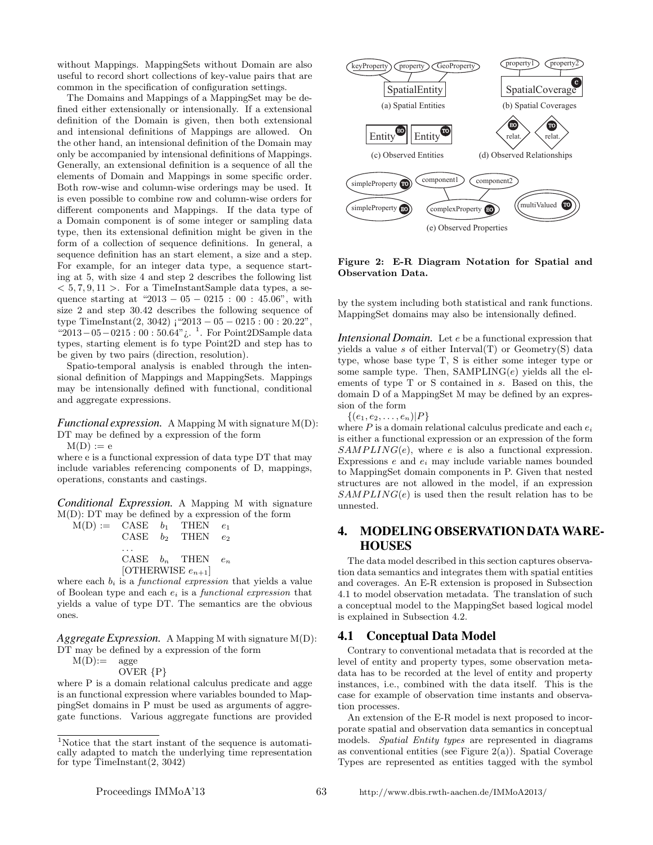without Mappings. MappingSets without Domain are also useful to record short collections of key-value pairs that are common in the specification of configuration settings.

The Domains and Mappings of a MappingSet may be defined either extensionally or intensionally. If a extensional definition of the Domain is given, then both extensional and intensional definitions of Mappings are allowed. On the other hand, an intensional definition of the Domain may only be accompanied by intensional definitions of Mappings. Generally, an extensional definition is a sequence of all the elements of Domain and Mappings in some specific order. Both row-wise and column-wise orderings may be used. It is even possible to combine row and column-wise orders for different components and Mappings. If the data type of a Domain component is of some integer or sampling data type, then its extensional definition might be given in the form of a collection of sequence definitions. In general, a sequence definition has an start element, a size and a step. For example, for an integer data type, a sequence starting at 5, with size 4 and step 2 describes the following list  $< 5, 7, 9, 11 >$ . For a TimeInstantSample data types, a sequence starting at "2013 – 05 – 0215 : 00 : 45.06", with size 2 and step 30.42 describes the following sequence of type TimeInstant $(2, 3042)$  ; "2013 – 05 – 0215 : 00 : 20.22", "2013−05−0215 : 00 : 50.64"¿. <sup>1</sup> . For Point2DSample data types, starting element is fo type Point2D and step has to be given by two pairs (direction, resolution).

Spatio-temporal analysis is enabled through the intensional definition of Mappings and MappingSets. Mappings may be intensionally defined with functional, conditional and aggregate expressions.

*Functional expression.* A Mapping M with signature M(D): DT may be defined by a expression of the form

 $M(D) := e$ 

where e is a functional expression of data type DT that may include variables referencing components of D, mappings, operations, constants and castings.

*Conditional Expression.* A Mapping M with signature M(D): DT may be defined by a expression of the form  $M(D)$ 

|                        |  | $\beta :=$ CASE $b_1$ THEN $e_1$ |  |
|------------------------|--|----------------------------------|--|
|                        |  | CASE $b_2$ THEN $e_2$            |  |
|                        |  | CASE $b_n$ THEN $e_n$            |  |
| [OTHERWISE $e_{n+1}$ ] |  |                                  |  |

where each  $b_i$  is a *functional expression* that yields a value of Boolean type and each  $e_i$  is a *functional expression* that yields a value of type DT. The semantics are the obvious ones.

*Aggregate Expression.* A Mapping M with signature M(D): DT may be defined by a expression of the form

 $M(D):=$  agge

OVER {P}

where P is a domain relational calculus predicate and agge is an functional expression where variables bounded to MappingSet domains in P must be used as arguments of aggregate functions. Various aggregate functions are provided



Figure 2: E-R Diagram Notation for Spatial and Observation Data.

by the system including both statistical and rank functions. MappingSet domains may also be intensionally defined.

*Intensional Domain.* Let e be a functional expression that yields a value s of either Interval(T) or Geometry(S) data type, whose base type T, S is either some integer type or some sample type. Then,  $SAMPLING(e)$  yields all the elements of type T or S contained in s. Based on this, the domain D of a MappingSet M may be defined by an expression of the form

 $\{(e_1, e_2, \ldots, e_n)|P\}$ 

where  $P$  is a domain relational calculus predicate and each  $e_i$ is either a functional expression or an expression of the form  $SAMPLING(e)$ , where e is also a functional expression. Expressions  $e$  and  $e_i$  may include variable names bounded to MappingSet domain components in P. Given that nested structures are not allowed in the model, if an expression  $SAMPLING(e)$  is used then the result relation has to be unnested.

# 4. MODELING OBSERVATION DATA WARE-**HOUSES**

The data model described in this section captures observation data semantics and integrates them with spatial entities and coverages. An E-R extension is proposed in Subsection 4.1 to model observation metadata. The translation of such a conceptual model to the MappingSet based logical model is explained in Subsection 4.2.

### 4.1 Conceptual Data Model

Contrary to conventional metadata that is recorded at the level of entity and property types, some observation metadata has to be recorded at the level of entity and property instances, i.e., combined with the data itself. This is the case for example of observation time instants and observation processes.

An extension of the E-R model is next proposed to incorporate spatial and observation data semantics in conceptual models. Spatial Entity types are represented in diagrams as conventional entities (see Figure  $2(a)$ ). Spatial Coverage Types are represented as entities tagged with the symbol

<sup>1</sup>Notice that the start instant of the sequence is automatically adapted to match the underlying time representation for type  $TimeInstant(2, 3042)$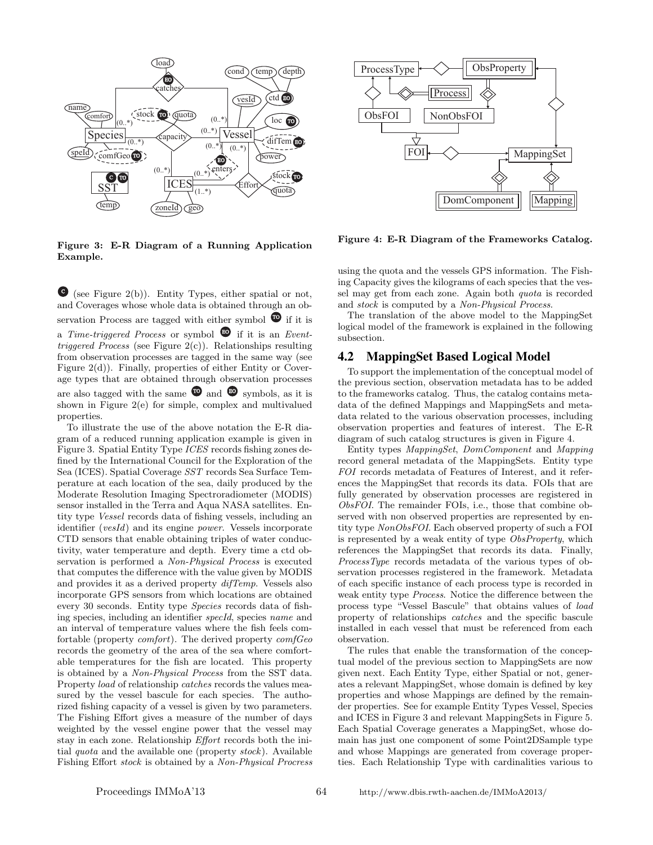

ProcessType  $\leftarrow \leftarrow$  ObsProperty **Process** ObsFOI NonObsFOI  $\overline{\mathcal{A}}$ FOI MappingSet DomComponent | | Mapping

Figure 3: E-R Diagram of a Running Application Example.

 $\bullet$  (see Figure 2(b)). Entity Types, either spatial or not, and Coverages whose whole data is obtained through an observation Process are tagged with either symbol  $\bullet$  if it is a Time-triggered Process or symbol  $\bullet$  if it is an Event*triggered Process* (see Figure  $2(c)$ ). Relationships resulting from observation processes are tagged in the same way (see Figure 2(d)). Finally, properties of either Entity or Coverage types that are obtained through observation processes are also tagged with the same  $\bullet$  and  $\bullet$  symbols, as it is shown in Figure 2(e) for simple, complex and multivalued properties.

To illustrate the use of the above notation the E-R diagram of a reduced running application example is given in Figure 3. Spatial Entity Type ICES records fishing zones defined by the International Council for the Exploration of the Sea (ICES). Spatial Coverage SST records Sea Surface Temperature at each location of the sea, daily produced by the Moderate Resolution Imaging Spectroradiometer (MODIS) sensor installed in the Terra and Aqua NASA satellites. Entity type Vessel records data of fishing vessels, including an identifier (vesId) and its engine power. Vessels incorporate CTD sensors that enable obtaining triples of water conductivity, water temperature and depth. Every time a ctd observation is performed a Non-Physical Process is executed that computes the difference with the value given by MODIS and provides it as a derived property difTemp. Vessels also incorporate GPS sensors from which locations are obtained every 30 seconds. Entity type Species records data of fishing species, including an identifier specId, species name and an interval of temperature values where the fish feels comfortable (property comfort). The derived property comfGeo records the geometry of the area of the sea where comfortable temperatures for the fish are located. This property is obtained by a Non-Physical Process from the SST data. Property load of relationship catches records the values measured by the vessel bascule for each species. The authorized fishing capacity of a vessel is given by two parameters. The Fishing Effort gives a measure of the number of days weighted by the vessel engine power that the vessel may stay in each zone. Relationship Effort records both the initial quota and the available one (property stock). Available Fishing Effort stock is obtained by a Non-Physical Procress

using the quota and the vessels GPS information. The Fishing Capacity gives the kilograms of each species that the vessel may get from each zone. Again both quota is recorded and stock is computed by a Non-Physical Process.

Figure 4: E-R Diagram of the Frameworks Catalog.

The translation of the above model to the MappingSet logical model of the framework is explained in the following subsection.

### 4.2 MappingSet Based Logical Model

To support the implementation of the conceptual model of the previous section, observation metadata has to be added to the frameworks catalog. Thus, the catalog contains metadata of the defined Mappings and MappingSets and metadata related to the various observation processes, including observation properties and features of interest. The E-R diagram of such catalog structures is given in Figure 4.

Entity types MappingSet, DomComponent and Mapping record general metadata of the MappingSets. Entity type FOI records metadata of Features of Interest, and it references the MappingSet that records its data. FOIs that are fully generated by observation processes are registered in ObsFOI. The remainder FOIs, i.e., those that combine observed with non observed properties are represented by entity type NonObsFOI. Each observed property of such a FOI is represented by a weak entity of type ObsProperty, which references the MappingSet that records its data. Finally, ProcessType records metadata of the various types of observation processes registered in the framework. Metadata of each specific instance of each process type is recorded in weak entity type Process. Notice the difference between the process type "Vessel Bascule" that obtains values of load property of relationships catches and the specific bascule installed in each vessel that must be referenced from each observation.

The rules that enable the transformation of the conceptual model of the previous section to MappingSets are now given next. Each Entity Type, either Spatial or not, generates a relevant MappingSet, whose domain is defined by key properties and whose Mappings are defined by the remainder properties. See for example Entity Types Vessel, Species and ICES in Figure 3 and relevant MappingSets in Figure 5. Each Spatial Coverage generates a MappingSet, whose domain has just one component of some Point2DSample type and whose Mappings are generated from coverage properties. Each Relationship Type with cardinalities various to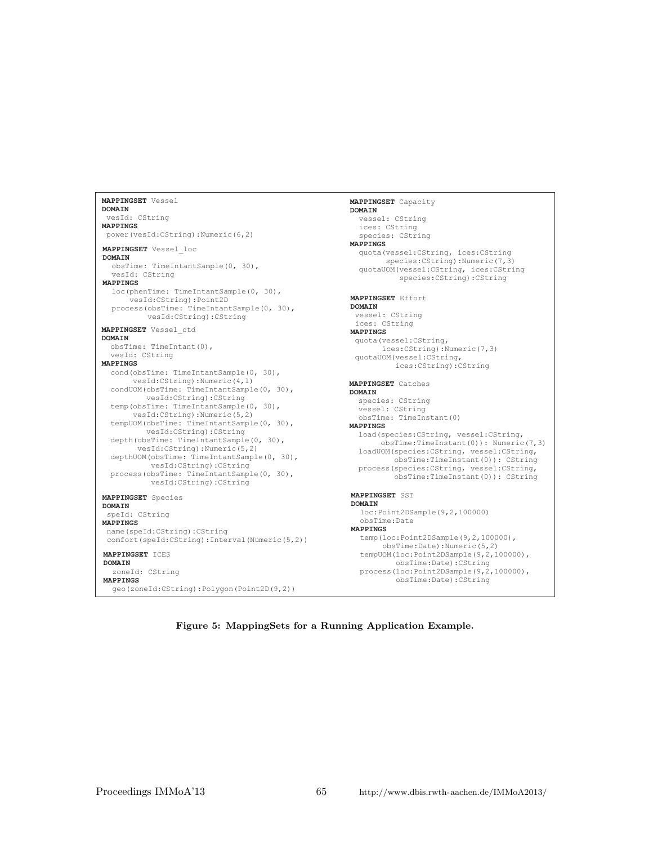```
MAPPINGSET
Vessel
DOMAIN
MAPPINGS
 vesId: CString
power(vesId:CString):Numeric(6,2)
MAPPINGSET
Species
DOMAIN
MAPPINGS
 speId: CString
 name(speId:CString):CString
 comfort(speId:CString):Interval(Numeric(5,2))
MAPPINGSET
Vessel_loc
DOMAIN
MAPPINGS
  obsTime: TimeIntantSample(0, 30),
  vesId: CString
  loc(
phenTime: TimeIntantSample(0, 30),
      vesId:CString):Point2D
  process(
obsTime: TimeIntantSample(0, 30),
          vesId:CString):CString
MAPPINGSET
ICES
DOMAIN
MAPPINGS
  zoneId: CString
  geo(zoneId:CString):Polygon(Point2D(9,2))
MAPPINGSET
Vessel_ctd
DOMAIN
MAPPINGS
  obsTime: TimeIntant(0),
  vesId: CString
  cond(
obsTime: TimeIntantSample(0, 30),
       vesId:CString):Numeric(4,1)
  condUOM(
obsTime: TimeIntantSample(0, 30),
  temp
(obsTime: TimeIntantSample(0, 30),
         vesId:CString):CString
      vesId:CString):Numeric(5,2)
  tempUOM(obsTime: TimeIntantSample(0, 30),
          vesId:CString):CString
  depth(obsTime: TimeIntantSample(0, 30),
        vesId:CString):Numeric(5,2)
  depthUOM(obsTime: TimeIntantSample(0, 30),
          vesId:CString):CString
  process(obsTime: TimeIntantSample(0, 30),
          vesId:CString):CString
```

```
MAPPINGSET
Effort
 DOMAIN
 MAPPINGS
  vessel: CString
  ices: CString
 quota(vessel:CString,
        ices:CString):Numeric(7,3)
 quotaUOM(vessel:CString,
           ices:CString):CString
 MAPPINGSET
Capacity
 DOMAIN
 MAPPINGS
   vessel: CString
   ices: CString
   species: CString
  quota(vessel:CString, ices:CString
         species:CString):Numeric(7,3)
   quotaUOM(vessel:CString, ices:CString
            species:CString):CString
 MAPPINGSET
Catches
DOMAIN
MAPPINGS
  species: CString
  vessel: CString
   obsTime: TimeInstant(0)
  load(species:CString, vessel:CString,
        obsTime:TimeInstant(0)): Numeric(7,3)
 loadUOM(species:CString, vessel:CString,
          obsTime:TimeInstant(0)): CString
 process(species:CString, vessel:CString,
          obsTime:TimeInstant(0)): CString
 MAPPINGSET
SST
 DOMAIN
 MAPPINGS
   loc:Point2DSample(9,2,100000)
    obsTime:Date
   temp(loc:Point2DSample(9,2,100000),
         :Date):Numeric(5,2)
obsTime
   tempUOM(loc:Point2DSample(9,2,100000),
           obsTime:Date):CString
   process(loc:Point2DSample(9,2,100000),
           obsTime:Date):CString
```
Figure 5: MappingSets for a Running Application Example.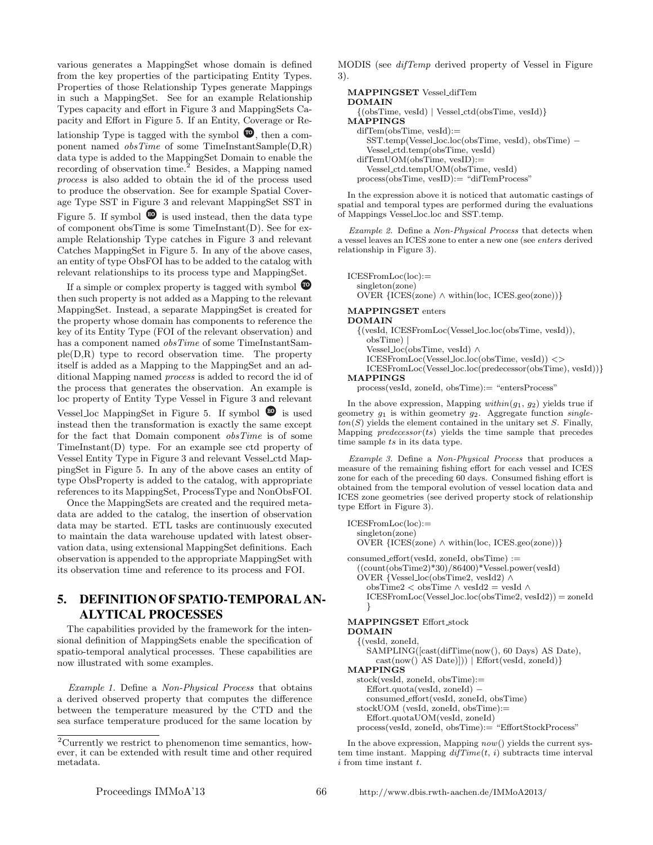various generates a MappingSet whose domain is defined from the key properties of the participating Entity Types. Properties of those Relationship Types generate Mappings in such a MappingSet. See for an example Relationship Types capacity and effort in Figure 3 and MappingSets Capacity and Effort in Figure 5. If an Entity, Coverage or Relationship Type is tagged with the symbol  $\bullet$ , then a component named  $obsTime$  of some TimeInstantSample(D,R) data type is added to the MappingSet Domain to enable the recording of observation time.<sup>2</sup> Besides, a Mapping named process is also added to obtain the id of the process used to produce the observation. See for example Spatial Coverage Type SST in Figure 3 and relevant MappingSet SST in Figure 5. If symbol  $\bullet$  is used instead, then the data type of component obsTime is some TimeInstant(D). See for example Relationship Type catches in Figure 3 and relevant Catches MappingSet in Figure 5. In any of the above cases, an entity of type ObsFOI has to be added to the catalog with relevant relationships to its process type and MappingSet.

If a simple or complex property is tagged with symbol  $\bullet$ then such property is not added as a Mapping to the relevant MappingSet. Instead, a separate MappingSet is created for the property whose domain has components to reference the key of its Entity Type (FOI of the relevant observation) and has a component named *obsTime* of some TimeInstantSample(D,R) type to record observation time. The property itself is added as a Mapping to the MappingSet and an additional Mapping named process is added to record the id of the process that generates the observation. An example is loc property of Entity Type Vessel in Figure 3 and relevant Vessel loc MappingSet in Figure 5. If symbol  $\bullet$  is used instead then the transformation is exactly the same except for the fact that Domain component obsTime is of some TimeInstant(D) type. For an example see ctd property of Vessel Entity Type in Figure 3 and relevant Vessel ctd MappingSet in Figure 5. In any of the above cases an entity of type ObsProperty is added to the catalog, with appropriate references to its MappingSet, ProcessType and NonObsFOI.

Once the MappingSets are created and the required metadata are added to the catalog, the insertion of observation data may be started. ETL tasks are continuously executed to maintain the data warehouse updated with latest observation data, using extensional MappingSet definitions. Each observation is appended to the appropriate MappingSet with its observation time and reference to its process and FOI.

## 5. DEFINITION OF SPATIO-TEMPORAL AN-ALYTICAL PROCESSES

The capabilities provided by the framework for the intensional definition of MappingSets enable the specification of spatio-temporal analytical processes. These capabilities are now illustrated with some examples.

Example 1. Define a Non-Physical Process that obtains a derived observed property that computes the difference between the temperature measured by the CTD and the sea surface temperature produced for the same location by

MODIS (see difTemp derived property of Vessel in Figure 3).

```
MAPPINGSET Vessel difTem
DOMAIN
  {(obsTime, vesId) | Vessel ctd(obsTime, vesId)}
MAPPINGS
  difTem(obsTime, vesId):=
    SST.temp(Vessel loc.loc(obsTime, vesId), obsTime) −
    Vessel ctd.temp(obsTime, vesId)
  difTemUOM(obsTime, vesID):=
    Vessel ctd.tempUOM(obsTime, vesId)
  process(obsTime, vesID):= "difTemProcess"
```
In the expression above it is noticed that automatic castings of spatial and temporal types are performed during the evaluations of Mappings Vessel loc.loc and SST.temp.

Example 2. Define a Non-Physical Process that detects when a vessel leaves an ICES zone to enter a new one (see enters derived relationship in Figure 3).

```
ICESFromLoc(loc):=
  singleton(zone)
  OVER {ICES(zone) ∧ within(loc, ICES.geo(zone))}
```
#### MAPPINGSET enters DOMAIN

```
{(vesId, ICESFromLoc(Vessel loc.loc(obsTime, vesId)),
    obsTime) |
    Vessel loc(obsTime, vesId) ∧
    ICESFromLoc(Vessel loc.loc(obsTime, vesId)) <>
    ICESFromLoc(Vessel loc.loc(predecessor(obsTime), vesId))}
MAPPINGS
```
process(vesId, zoneId, obsTime):= "entersProcess"

In the above expression, Mapping  $within(g_1, g_2)$  yields true if geometry  $g_1$  is within geometry  $g_2$ . Aggregate function single- $\text{ton}(S)$  yields the element contained in the unitary set S. Finally, Mapping  $predecessor(ts)$  yields the time sample that precedes time sample ts in its data type.

Example 3. Define a Non-Physical Process that produces a measure of the remaining fishing effort for each vessel and ICES zone for each of the preceding 60 days. Consumed fishing effort is obtained from the temporal evolution of vessel location data and ICES zone geometries (see derived property stock of relationship type Effort in Figure 3).

```
ICESFromLoc(loc):=
  singleton(zone)
  OVER {ICES(zone) ∧ within(loc, ICES.geo(zone))}
\text{cosumed\_effort}(vesId, zoneId, obsTime) :=((\text{count}(\text{obsTime2})^*30)/86400)^*Vessel.power(vesId)
  OVER {Vessel loc(obsTime2, vesId2) ∧
    obsTime2 < obsTime ∧ vesId2 = vesId ∧
    ICESFromLoc(Vessel\_loc.loc(obsTime2, vesId2)) = zoneId}
MAPPINGSET Effort stock
DOMAIN
  {(vesId, zoneId,
    SAMPLING([cast(difTime(now(), 60 Days) AS Date),
       cast(now() AS Date)])) | Effort(vesId, zoneId)}
MAPPINGS
  stock(vesId, zoneId, obsTime):=
    Effort.quota(vesId, zoneId) −
    consumed effort(vesId, zoneId, obsTime)
```

```
stockUOM (vesId, zoneId, obsTime):=
  Effort.quotaUOM(vesId, zoneId)
\rm process(vesId,\,zon eld,\,obsTime):=\, \mbox{``EffortStockProcess''}
```
In the above expression, Mapping  $now()$  yields the current system time instant. Mapping  $diffime(t, i)$  subtracts time interval  $i$  from time instant  $t$ .

<sup>2</sup>Currently we restrict to phenomenon time semantics, however, it can be extended with result time and other required metadata.